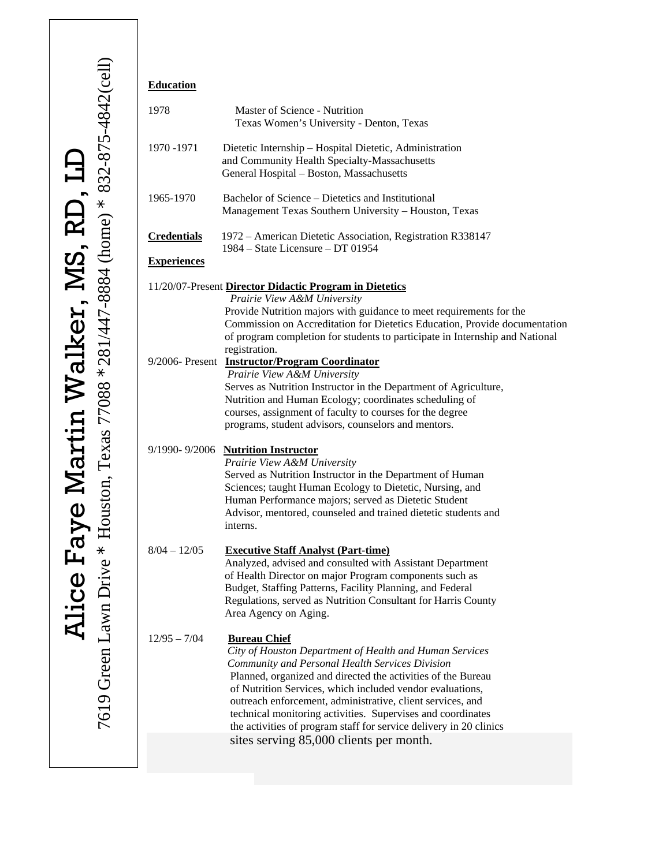| <b>Education</b>   |                                                                                                                                                                                                                                                                                                                                                                                                                                                                                                              |
|--------------------|--------------------------------------------------------------------------------------------------------------------------------------------------------------------------------------------------------------------------------------------------------------------------------------------------------------------------------------------------------------------------------------------------------------------------------------------------------------------------------------------------------------|
| 1978               | Master of Science - Nutrition<br>Texas Women's University - Denton, Texas                                                                                                                                                                                                                                                                                                                                                                                                                                    |
| 1970 - 1971        | Dietetic Internship - Hospital Dietetic, Administration<br>and Community Health Specialty-Massachusetts<br>General Hospital - Boston, Massachusetts                                                                                                                                                                                                                                                                                                                                                          |
| 1965-1970          | Bachelor of Science – Dietetics and Institutional<br>Management Texas Southern University - Houston, Texas                                                                                                                                                                                                                                                                                                                                                                                                   |
| <b>Credentials</b> | 1972 – American Dietetic Association, Registration R338147<br>1984 – State Licensure – DT 01954                                                                                                                                                                                                                                                                                                                                                                                                              |
| <b>Experiences</b> |                                                                                                                                                                                                                                                                                                                                                                                                                                                                                                              |
|                    | 11/20/07-Present Director Didactic Program in Dietetics<br>Prairie View A&M University<br>Provide Nutrition majors with guidance to meet requirements for the<br>Commission on Accreditation for Dietetics Education, Provide documentation<br>of program completion for students to participate in Internship and National<br>registration.                                                                                                                                                                 |
|                    | 9/2006- Present <b>Instructor/Program Coordinator</b><br>Prairie View A&M University<br>Serves as Nutrition Instructor in the Department of Agriculture,<br>Nutrition and Human Ecology; coordinates scheduling of<br>courses, assignment of faculty to courses for the degree<br>programs, student advisors, counselors and mentors.                                                                                                                                                                        |
|                    | 9/1990-9/2006 Nutrition Instructor<br>Prairie View A&M University<br>Served as Nutrition Instructor in the Department of Human<br>Sciences; taught Human Ecology to Dietetic, Nursing, and<br>Human Performance majors; served as Dietetic Student<br>Advisor, mentored, counseled and trained dietetic students and<br>interns.                                                                                                                                                                             |
| $8/04 - 12/05$     | <b>Executive Staff Analyst (Part-time)</b><br>Analyzed, advised and consulted with Assistant Department<br>of Health Director on major Program components such as<br>Budget, Staffing Patterns, Facility Planning, and Federal<br>Regulations, served as Nutrition Consultant for Harris County<br>Area Agency on Aging.                                                                                                                                                                                     |
| $12/95 - 7/04$     | <b>Bureau Chief</b><br>City of Houston Department of Health and Human Services<br>Community and Personal Health Services Division<br>Planned, organized and directed the activities of the Bureau<br>of Nutrition Services, which included vendor evaluations,<br>outreach enforcement, administrative, client services, and<br>technical monitoring activities. Supervises and coordinates<br>the activities of program staff for service delivery in 20 clinics<br>sites serving 85,000 clients per month. |
|                    |                                                                                                                                                                                                                                                                                                                                                                                                                                                                                                              |